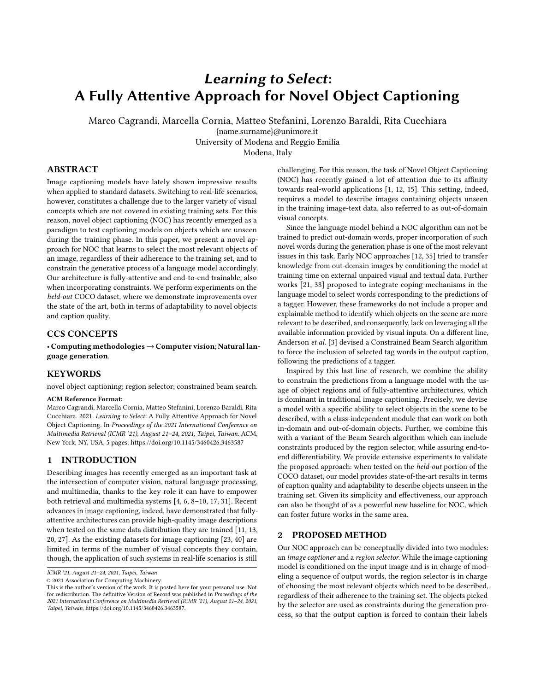# Learning to Select: A Fully Attentive Approach for Novel Object Captioning

Marco Cagrandi, Marcella Cornia, Matteo Stefanini, Lorenzo Baraldi, Rita Cucchiara

{name.surname}@unimore.it

University of Modena and Reggio Emilia

Modena, Italy

## ABSTRACT

Image captioning models have lately shown impressive results when applied to standard datasets. Switching to real-life scenarios, however, constitutes a challenge due to the larger variety of visual concepts which are not covered in existing training sets. For this reason, novel object captioning (NOC) has recently emerged as a paradigm to test captioning models on objects which are unseen during the training phase. In this paper, we present a novel approach for NOC that learns to select the most relevant objects of an image, regardless of their adherence to the training set, and to constrain the generative process of a language model accordingly. Our architecture is fully-attentive and end-to-end trainable, also when incorporating constraints. We perform experiments on the held-out COCO dataset, where we demonstrate improvements over the state of the art, both in terms of adaptability to novel objects and caption quality.

## CCS CONCEPTS

• Computing methodologies→Computer vision; Natural language generation.

## **KEYWORDS**

novel object captioning; region selector; constrained beam search.

## ACM Reference Format:

Marco Cagrandi, Marcella Cornia, Matteo Stefanini, Lorenzo Baraldi, Rita Cucchiara. 2021. Learning to Select: A Fully Attentive Approach for Novel Object Captioning. In Proceedings of the 2021 International Conference on Multimedia Retrieval (ICMR '21), August 21–24, 2021, Taipei, Taiwan. ACM, New York, NY, USA, [5](#page-4-0) pages.<https://doi.org/10.1145/3460426.3463587>

## 1 INTRODUCTION

Describing images has recently emerged as an important task at the intersection of computer vision, natural language processing, and multimedia, thanks to the key role it can have to empower both retrieval and multimedia systems [\[4,](#page-4-1) [6,](#page-4-2) [8–](#page-4-3)[10,](#page-4-4) [17,](#page-4-5) [31\]](#page-4-6). Recent advances in image captioning, indeed, have demonstrated that fullyattentive architectures can provide high-quality image descriptions when tested on the same data distribution they are trained [\[11,](#page-4-7) [13,](#page-4-8) [20,](#page-4-9) [27\]](#page-4-10). As the existing datasets for image captioning [\[23,](#page-4-11) [40\]](#page-4-12) are limited in terms of the number of visual concepts they contain, though, the application of such systems in real-life scenarios is still

© 2021 Association for Computing Machinery.

challenging. For this reason, the task of Novel Object Captioning (NOC) has recently gained a lot of attention due to its affinity towards real-world applications [\[1,](#page-4-13) [12,](#page-4-14) [15\]](#page-4-15). This setting, indeed, requires a model to describe images containing objects unseen in the training image-text data, also referred to as out-of-domain visual concepts.

Since the language model behind a NOC algorithm can not be trained to predict out-domain words, proper incorporation of such novel words during the generation phase is one of the most relevant issues in this task. Early NOC approaches [\[12,](#page-4-14) [35\]](#page-4-16) tried to transfer knowledge from out-domain images by conditioning the model at training time on external unpaired visual and textual data. Further works [\[21,](#page-4-17) [38\]](#page-4-18) proposed to integrate coping mechanisms in the language model to select words corresponding to the predictions of a tagger. However, these frameworks do not include a proper and explainable method to identify which objects on the scene are more relevant to be described, and consequently, lack on leveraging all the available information provided by visual inputs. On a different line, Anderson et al. [\[3\]](#page-4-19) devised a Constrained Beam Search algorithm to force the inclusion of selected tag words in the output caption, following the predictions of a tagger.

Inspired by this last line of research, we combine the ability to constrain the predictions from a language model with the usage of object regions and of fully-attentive architectures, which is dominant in traditional image captioning. Precisely, we devise a model with a specific ability to select objects in the scene to be described, with a class-independent module that can work on both in-domain and out-of-domain objects. Further, we combine this with a variant of the Beam Search algorithm which can include constraints produced by the region selector, while assuring end-toend differentiability. We provide extensive experiments to validate the proposed approach: when tested on the held-out portion of the COCO dataset, our model provides state-of-the-art results in terms of caption quality and adaptability to describe objects unseen in the training set. Given its simplicity and effectiveness, our approach can also be thought of as a powerful new baseline for NOC, which can foster future works in the same area.

## 2 PROPOSED METHOD

Our NOC approach can be conceptually divided into two modules: an image captioner and a region selector. While the image captioning model is conditioned on the input image and is in charge of modeling a sequence of output words, the region selector is in charge of choosing the most relevant objects which need to be described, regardless of their adherence to the training set. The objects picked by the selector are used as constraints during the generation process, so that the output caption is forced to contain their labels

ICMR '21, August 21–24, 2021, Taipei, Taiwan

This is the author's version of the work. It is posted here for your personal use. Not for redistribution. The definitive Version of Record was published in Proceedings of the 2021 International Conference on Multimedia Retrieval (ICMR '21), August 21–24, 2021, Taipei, Taiwan, [https://doi.org/10.1145/3460426.3463587.](https://doi.org/10.1145/3460426.3463587)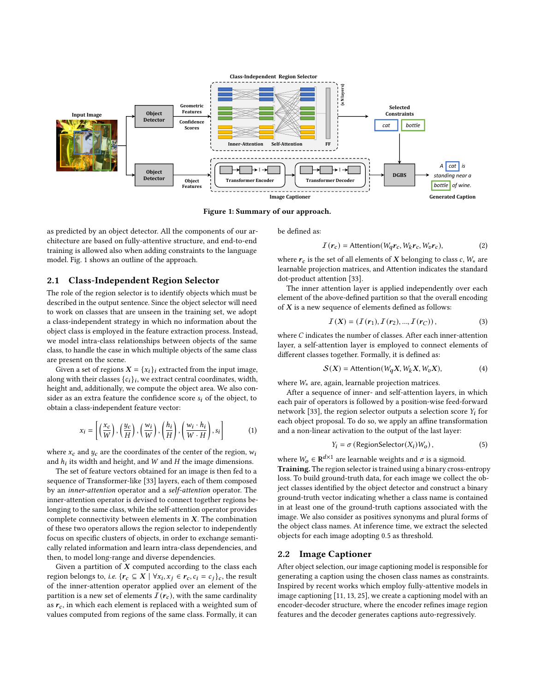<span id="page-1-0"></span>

Figure 1: Summary of our approach.

as predicted by an object detector. All the components of our architecture are based on fully-attentive structure, and end-to-end training is allowed also when adding constraints to the language model. Fig. [1](#page-1-0) shows an outline of the approach.

#### 2.1 Class-Independent Region Selector

The role of the region selector is to identify objects which must be described in the output sentence. Since the object selector will need to work on classes that are unseen in the training set, we adopt a class-independent strategy in which no information about the object class is employed in the feature extraction process. Instead, we model intra-class relationships between objects of the same class, to handle the case in which multiple objects of the same class are present on the scene.

Given a set of regions  $X = \{x_i\}_i$  extracted from the input image, along with their classes  $\{c_i\}_i$ , we extract central coordinates, width, height and, additionally, we compute the object area. We also consider as an extra feature the confidence score  $s_i$  of the object, to obtain a class-independent feature vector:

$$
x_i = \left[ \left( \frac{x_c}{W} \right), \left( \frac{y_c}{H} \right), \left( \frac{w_i}{W} \right), \left( \frac{h_i}{H} \right), \left( \frac{w_i \cdot h_i}{W \cdot H} \right), s_i \right] \tag{1}
$$

where  $x_c$  and  $y_c$  are the coordinates of the center of the region,  $w_i$ and  $h_i$  its width and height, and  $W$  and  $H$  the image dimensions.

The set of feature vectors obtained for an image is then fed to a sequence of Transformer-like [\[33\]](#page-4-20) layers, each of them composed by an inner-attention operator and a self-attention operator. The inner-attention operator is devised to connect together regions belonging to the same class, while the self-attention operator provides complete connectivity between elements in  $X$ . The combination of these two operators allows the region selector to independently focus on specific clusters of objects, in order to exchange semantically related information and learn intra-class dependencies, and then, to model long-range and diverse dependencies.

Given a partition of  $X$  computed according to the class each region belongs to, *i.e.* { $r_c \subseteq X | \forall x_i, x_j \in r_c, c_i = c_j$ }, the result of the inner-attention operator applied over an element of the partition is a new set of elements  $I(r_c)$ , with the same cardinality as  $r_c$ , in which each element is replaced with a weighted sum of values computed from regions of the same class. Formally, it can be defined as:

$$
I(r_c) = \text{Attention}(W_q r_c, W_k r_c, W_v r_c), \tag{2}
$$

where  $r_c$  is the set of all elements of  $X$  belonging to class  $c$ ,  $W_*$  are learnable projection matrices, and Attention indicates the standard dot-product attention [\[33\]](#page-4-20).

The inner attention layer is applied independently over each element of the above-defined partition so that the overall encoding of  $X$  is a new sequence of elements defined as follows:

$$
I(X) = (I(r_1), I(r_2), ..., I(r_C)),
$$
\n(3)

where  $C$  indicates the number of classes. After each inner-attention layer, a self-attention layer is employed to connect elements of different classes together. Formally, it is defined as:

$$
S(X) = \text{Attention}(W_q X, W_k X, W_v X), \tag{4}
$$

where  $W_*$  are, again, learnable projection matrices.

After a sequence of inner- and self-attention layers, in which each pair of operators is followed by a position-wise feed-forward network [\[33\]](#page-4-20), the region selector outputs a selection score  $Y_i$  for each object proposal. To do so, we apply an affine transformation and a non-linear activation to the output of the last layer:

$$
Y_i = \sigma \left( \text{RegionSelector}(X_i) W_o \right),\tag{5}
$$

where  $W_0 \in \mathbf{R}^{d \times 1}$  are learnable weights and  $\sigma$  is a sigmoid. Training. The region selector is trained using a binary cross-entropy loss. To build ground-truth data, for each image we collect the object classes identified by the object detector and construct a binary ground-truth vector indicating whether a class name is contained in at least one of the ground-truth captions associated with the image. We also consider as positives synonyms and plural forms of the object class names. At inference time, we extract the selected objects for each image adopting 0.5 as threshold.

#### 2.2 Image Captioner

After object selection, our image captioning model is responsible for generating a caption using the chosen class names as constraints. Inspired by recent works which employ fully-attentive models in image captioning [\[11,](#page-4-7) [13,](#page-4-8) [25\]](#page-4-21), we create a captioning model with an encoder-decoder structure, where the encoder refines image region features and the decoder generates captions auto-regressively.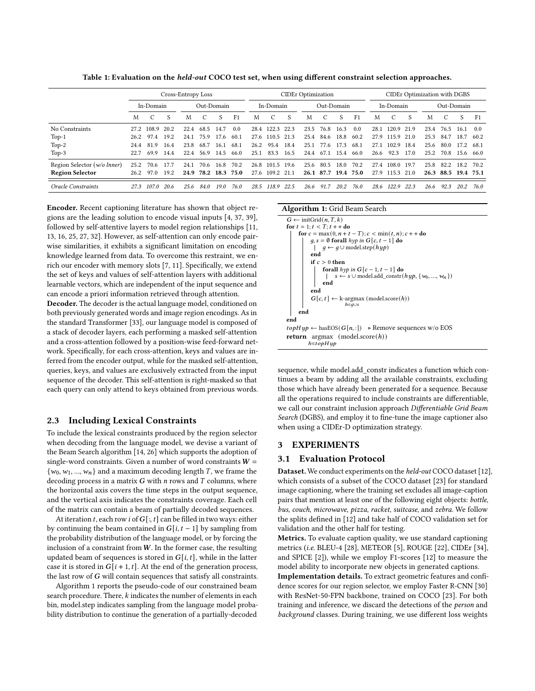Table 1: Evaluation on the *held-out* COCO test set, when using different constraint selection approaches.

<span id="page-2-1"></span>

|                             | Cross-Entropy Loss |               |      |            |      | <b>CIDEr Optimization</b> |                |      |            |      |      | CIDEr Optimization with DGBS |      |                |            |            |      |      |      |      |                |
|-----------------------------|--------------------|---------------|------|------------|------|---------------------------|----------------|------|------------|------|------|------------------------------|------|----------------|------------|------------|------|------|------|------|----------------|
|                             | In-Domain          |               |      | Out-Domain |      |                           | In-Domain      |      | Out-Domain |      |      | In-Domain                    |      |                | Out-Domain |            |      |      |      |      |                |
|                             | M                  | $\mathcal{C}$ | S    | M          | C    | S                         | F <sub>1</sub> | M    | C          | S    | M    | C                            | S    | F <sub>1</sub> | М          | C          | S    | M    |      | S    | F <sub>1</sub> |
| No Constraints              | 27.2               | 108.9         | 20.2 | 22.4       | 68.5 | 14.7                      | 0.0            |      | 28.4 122.3 | 22.3 | 23.5 | 76.8                         | 16.3 | 0.0            | 28.1       | 120.9      | 21.9 | 23.4 | 76.5 | 16.1 | 0.0            |
| $Top-1$                     | 26.2               | 97.4          | 19.2 | 24.1       | 75.9 | 17.6                      | 60.1           |      | 27.6 110.5 | 21.3 | 25.4 | 84.6                         | 18.8 | 60.2           |            | 27.9 115.9 | 21.0 | 25.3 | 84.7 | 18.7 | 60.2           |
| $Top-2$                     | 24.4               | 81.9          | 16.4 | 23.8       | 68.7 | 16.1                      | 68.1           | 26.2 | 95.4       | 18.4 | 25.1 | 77.6                         | 17.3 | 68.1           | 27.1       | 102.9      | 18.4 | 25.6 | 80.0 | 17.2 | 68.1           |
| $Top-3$                     | 22.7               | 69.9          | 14.4 | 22.4       | 56.9 | 14.5                      | 66.0           | 25.1 | 83.3       | 16.5 | 24.4 | 67.1                         | 15.4 | 66.0           | 26.6       | 92.3       | 17.0 | 25.2 | 70.8 | 15.6 | 66.0           |
| Region Selector (w/o Inner) | 25.2               | 70.6          | 17.7 | 24.1       | 70.6 | 16.8                      | 70.2           | 26.8 | 101.5 19.6 |      | 25.6 | 80.5                         | 18.0 | 70.2           | 27.4       | 108.0      | 19.7 | 25.8 | 82.2 | 18.2 | 70.2           |
| <b>Region Selector</b>      | 26.2               | 97.0          | 19.2 | 24.9       | 78.2 |                           | 18.3 75.0      | 27.6 | 109.2      | 21.1 | 26.1 | 87.7                         | 19.4 | 75.0           | 27.9       | 115.3      | 21.0 | 26.3 | 88.5 | 19.4 | 75.1           |
| Oracle Constraints          | 27.3               | 107.0         | 20.6 | 25.6       | 84.0 | 19.0                      | 76.0           |      | 28.5 118.9 | 22.5 | 26.6 | 91.7                         | 20.2 | 76.0           | 28.6       | 122.9      | 22.3 | 26.6 | 92.3 | 20.2 | 76.0           |

Encoder. Recent captioning literature has shown that object regions are the leading solution to encode visual inputs [\[4,](#page-4-1) [37,](#page-4-22) [39\]](#page-4-23), followed by self-attentive layers to model region relationships [\[11,](#page-4-7) [13,](#page-4-8) [16,](#page-4-24) [25,](#page-4-21) [27,](#page-4-10) [32\]](#page-4-25). However, as self-attention can only encode pairwise similarities, it exhibits a significant limitation on encoding knowledge learned from data. To overcome this restraint, we enrich our encoder with memory slots [\[7,](#page-4-26) [11\]](#page-4-7). Specifically, we extend the set of keys and values of self-attention layers with additional learnable vectors, which are independent of the input sequence and can encode a priori information retrieved through attention.

Decoder. The decoder is the actual language model, conditioned on both previously generated words and image region encodings. As in the standard Transformer [\[33\]](#page-4-20), our language model is composed of a stack of decoder layers, each performing a masked self-attention and a cross-attention followed by a position-wise feed-forward network. Specifically, for each cross-attention, keys and values are inferred from the encoder output, while for the masked self-attention, queries, keys, and values are exclusively extracted from the input sequence of the decoder. This self-attention is right-masked so that each query can only attend to keys obtained from previous words.

## 2.3 Including Lexical Constraints

To include the lexical constraints produced by the region selector when decoding from the language model, we devise a variant of the Beam Search algorithm [\[14,](#page-4-27) [26\]](#page-4-28) which supports the adoption of single-word constraints. Given a number of word constraints  $W =$  $\{w_0, w_1, ..., w_n\}$  and a maximum decoding length *T*, we frame the decoding process in a matrix  $G$  with  $n$  rows and  $T$  columns, where the horizontal axis covers the time steps in the output sequence, and the vertical axis indicates the constraints coverage. Each cell of the matrix can contain a beam of partially decoded sequences.

At iteration t, each row i of  $G[:, t]$  can be filled in two ways: either by continuing the beam contained in  $G[i, t - 1]$  by sampling from the probability distribution of the language model, or by forcing the inclusion of a constraint from  $W$ . In the former case, the resulting updated beam of sequences is stored in  $G[i, t]$ , while in the latter case it is stored in  $G[i + 1, t]$ . At the end of the generation process, the last row of  $G$  will contain sequences that satisfy all constraints.

Algorithm [1](#page-2-0) reports the pseudo-code of our constrained beam search procedure. There,  $k$  indicates the number of elements in each bin, model.step indicates sampling from the language model probability distribution to continue the generation of a partially-decoded

#### Algorithm 1: Grid Beam Search

```
G \leftarrow \text{initGrid}(n, T, k)for t = 1; t < T; t + + do
     for c = \max(0, n + t - T); c < \min(t, n); c + + do
           g, s = \emptyset forall hyp in G[c, t - 1] do
             | \quad g \leftarrow g \cup \text{model}.\text{step}(hyp)end
           if c > 0 then
                 forall hyp in G[c - 1, t - 1] do<br>| s ← s ∪ model.add constr(
                     s \leftarrow s \cup \text{model.add\_construct}(hyp, \{w_0, ..., w_n\})end
           end
            G[c, t] \leftarrow k-argmax (model.score(h))
                           ℎ∈∪
     end
end
topHyp ← hasEOS(G[n, :]) > Remove sequences w/o EOS
return argmax (model_score(h))h \in \text{to} Hup
```
<span id="page-2-0"></span>sequence, while model.add\_constr indicates a function which continues a beam by adding all the available constraints, excluding those which have already been generated for a sequence. Because all the operations required to include constraints are differentiable, we call our constraint inclusion approach Differentiable Grid Beam Search (DGBS), and employ it to fine-tune the image captioner also when using a CIDEr-D optimization strategy.

## 3 EXPERIMENTS

#### 3.1 Evaluation Protocol

Dataset. We conduct experiments on the held-out COCO dataset [\[12\]](#page-4-14), which consists of a subset of the COCO dataset [\[23\]](#page-4-11) for standard image captioning, where the training set excludes all image-caption pairs that mention at least one of the following eight objects: bottle, bus, couch, microwave, pizza, racket, suitcase, and zebra. We follow the splits defined in [\[12\]](#page-4-14) and take half of COCO validation set for validation and the other half for testing.

Metrics. To evaluate caption quality, we use standard captioning metrics (i.e. BLEU-4 [\[28\]](#page-4-29), METEOR [\[5\]](#page-4-30), ROUGE [\[22\]](#page-4-31), CIDEr [\[34\]](#page-4-32), and SPICE [\[2\]](#page-4-33)), while we employ F1-scores [\[12\]](#page-4-14) to measure the model ability to incorporate new objects in generated captions. Implementation details. To extract geometric features and confidence scores for our region selector, we employ Faster R-CNN [\[30\]](#page-4-34) with ResNet-50-FPN backbone, trained on COCO [\[23\]](#page-4-11). For both training and inference, we discard the detections of the person and background classes. During training, we use different loss weights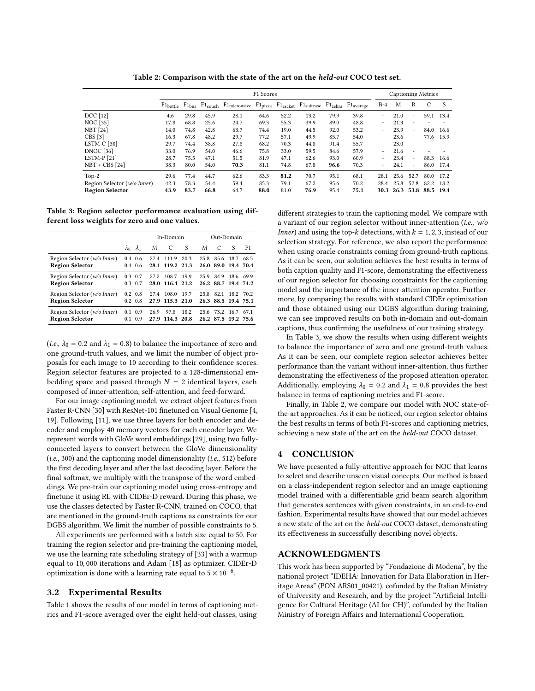Table 2: Comparison with the state of the art on the held-out COCO test set.

<span id="page-3-1"></span>

|                             | F <sub>1</sub> Scores |      |      |                                                                                  |      |      |      |      |      | Captioning Metrics       |      |                          |                |              |  |
|-----------------------------|-----------------------|------|------|----------------------------------------------------------------------------------|------|------|------|------|------|--------------------------|------|--------------------------|----------------|--------------|--|
|                             |                       |      |      | F1bottle F1bus F1couch F1microwave F1pizza F1racket F1suitcase F1zebra F1average |      |      |      |      |      | $B-4$                    | M    | R                        | C              | <sup>S</sup> |  |
| DCC [12]                    | 4.6                   | 29.8 | 45.9 | 28.1                                                                             | 64.6 | 52.2 | 13.2 | 79.9 | 39.8 |                          | 21.0 | $\overline{\phantom{a}}$ | 59.1           | 13.4         |  |
| <b>NOC</b> [35]             | 17.8                  | 68.8 | 25.6 | 24.7                                                                             | 69.3 | 55.3 | 39.9 | 89.0 | 48.8 | $\overline{\phantom{0}}$ | 21.3 | $\overline{\phantom{a}}$ |                |              |  |
| <b>NBT</b> [24]             | 14.0                  | 74.8 | 42.8 | 63.7                                                                             | 74.4 | 19.0 | 44.5 | 92.0 | 53.2 |                          | 23.9 | $\overline{\phantom{a}}$ | 84.0           | 16.6         |  |
| CBS [3]                     | 16.3                  | 67.8 | 48.2 | 29.7                                                                             | 77.2 | 57.1 | 49.9 | 85.7 | 54.0 | ۰                        | 23.6 | $\overline{\phantom{a}}$ | 77.6           | 15.9         |  |
| LSTM-C <sub>[38]</sub>      | 29.7                  | 74.4 | 38.8 | 27.8                                                                             | 68.2 | 70.3 | 44.8 | 91.4 | 55.7 | $\overline{\phantom{0}}$ | 23.0 | $\overline{\phantom{0}}$ |                |              |  |
| <b>DNOC</b> [36]            | 33.0                  | 76.9 | 54.0 | 46.6                                                                             | 75.8 | 33.0 | 59.5 | 84.6 | 57.9 | $\overline{\phantom{0}}$ | 21.6 | $\overline{\phantom{a}}$ |                |              |  |
| $LSTM-P[21]$                | 28.7                  | 75.5 | 47.1 | 51.5                                                                             | 81.9 | 47.1 | 62.6 | 93.0 | 60.9 | $\overline{\phantom{0}}$ | 23.4 | $\overline{\phantom{a}}$ | 88.3           | 16.6         |  |
| $NBT + CBS$ [24]            | 38.3                  | 80.0 | 54.0 | 70.3                                                                             | 81.1 | 74.8 | 67.8 | 96.6 | 70.3 |                          | 24.1 | $\overline{\phantom{a}}$ | 86.0           | 17.4         |  |
| $Top-2$                     | 29.6                  | 77.4 | 44.7 | 62.6                                                                             | 83.3 | 81.2 | 70.7 | 95.1 | 68.1 | 28.1                     | 25.6 | 52.7                     | 80.0           | 17.2         |  |
| Region Selector (w/o Inner) | 42.3                  | 78.3 | 54.4 | 59.4                                                                             | 85.3 | 79.1 | 67.2 | 95.6 | 70.2 | 28.4                     | 25.8 | 52.8                     | 82.2           | 18.2         |  |
| <b>Region Selector</b>      | 43.9                  | 83.7 | 66.8 | 64.7                                                                             | 88.0 | 81.0 | 76.9 | 95.4 | 75.1 | 30.3                     |      |                          | 26.3 53.8 88.5 | 19.4         |  |

<span id="page-3-0"></span>Table 3: Region selector performance evaluation using different loss weights for zero and one values.

|                                                                | In-Domain                          |             |              |                          |      | Out-Domain |                             |      |      |  |  |
|----------------------------------------------------------------|------------------------------------|-------------|--------------|--------------------------|------|------------|-----------------------------|------|------|--|--|
|                                                                | $\lambda_0$                        | $\lambda_1$ | M            | C                        | S    | M          | C                           | S    | F1   |  |  |
| Region Selector (w/o Inner)<br><b>Region Selector</b>          | $0.4 \quad 0.6$<br>$0.4\quad 0.6$  |             | 27.4         | 111.9<br>28.1 119.2 21.3 | 20.3 | 25.8       | 85.6<br>26.0 89.0 19.4 70.4 | 18.7 | 68.5 |  |  |
| Region Selector (w/o Inner)<br><b>Region Selector</b>          | $0.3 \quad 0.7$<br>$0.3 \quad 0.7$ |             | 27.2         | 108.7<br>28.0 116.4 21.2 | 19.9 | 25.9       | 84.9<br>26.2 88.7 19.4 74.2 | 18.6 | 69.9 |  |  |
| Region Selector ( <i>w/o Inner</i> )<br><b>Region Selector</b> | $0.2 \quad 0.8$<br>$0.2 \quad 0.8$ |             | 27.4         | 108.0<br>27.9 115.3 21.0 | 19.7 | 25.8       | 82.1<br>26.3 88.5 19.4 75.1 | 18.2 | 70.2 |  |  |
| Region Selector (w/o Inner)<br><b>Region Selector</b>          | $0.1 \quad 0.9$<br>01              | 0.9         | 26.9<br>27.9 | 97.8<br>114.3 20.8       | 18.2 | 25.6       | 73.2<br>26.2 87.5 19.2 75.6 | 16.7 | 67.1 |  |  |

(*i.e.*,  $\lambda_0 = 0.2$  and  $\lambda_1 = 0.8$ ) to balance the importance of zero and one ground-truth values, and we limit the number of object proposals for each image to 10 according to their confidence scores. Region selector features are projected to a 128-dimensional embedding space and passed through  $N = 2$  identical layers, each composed of inner-attention, self-attention, and feed-forward.

For our image captioning model, we extract object features from Faster R-CNN [\[30\]](#page-4-34) with ResNet-101 finetuned on Visual Genome [\[4,](#page-4-1) [19\]](#page-4-37). Following [\[11\]](#page-4-7), we use three layers for both encoder and decoder and employ 40 memory vectors for each encoder layer. We represent words with GloVe word embeddings [\[29\]](#page-4-38), using two fullyconnected layers to convert between the GloVe dimensionality  $(i.e., 300)$  and the captioning model dimensionality  $(i.e., 512)$  before the first decoding layer and after the last decoding layer. Before the final softmax, we multiply with the transpose of the word embeddings. We pre-train our captioning model using cross-entropy and finetune it using RL with CIDEr-D reward. During this phase, we use the classes detected by Faster R-CNN, trained on COCO, that are mentioned in the ground-truth captions as constraints for our DGBS algorithm. We limit the number of possible constraints to 5.

All experiments are performed with a batch size equal to 50. For training the region selector and pre-training the captioning model, we use the learning rate scheduling strategy of [\[33\]](#page-4-20) with a warmup equal to 10, 000 iterations and Adam [\[18\]](#page-4-39) as optimizer. CIDEr-D optimization is done with a learning rate equal to  $5 \times 10^{-6}$ .

### 3.2 Experimental Results

Table [1](#page-2-1) shows the results of our model in terms of captioning metrics and F1-score averaged over the eight held-out classes, using

different strategies to train the captioning model. We compare with a variant of our region selector without inner-attention (*i.e.*,  $w/o$ *Inner*) and using the top- $k$  detections, with  $k = 1, 2, 3$ , instead of our selection strategy. For reference, we also report the performance when using oracle constraints coming from ground-truth captions. As it can be seen, our solution achieves the best results in terms of both caption quality and F1-score, demonstrating the effectiveness of our region selector for choosing constraints for the captioning model and the importance of the inner-attention operator. Furthermore, by comparing the results with standard CIDEr optimization and those obtained using our DGBS algorithm during training, we can see improved results on both in-domain and out-domain captions, thus confirming the usefulness of our training strategy.

In Table [3,](#page-3-0) we show the results when using different weights to balance the importance of zero and one ground-truth values. As it can be seen, our complete region selector achieves better performance than the variant without inner-attention, thus further demonstrating the effectiveness of the proposed attention operator. Additionally, employing  $\lambda_0 = 0.2$  and  $\lambda_1 = 0.8$  provides the best balance in terms of captioning metrics and F1-score.

Finally, in Table [2,](#page-3-1) we compare our model with NOC state-ofthe-art approaches. As it can be noticed, our region selector obtains the best results in terms of both F1-scores and captioning metrics, achieving a new state of the art on the held-out COCO dataset.

### 4 CONCLUSION

We have presented a fully-attentive approach for NOC that learns to select and describe unseen visual concepts. Our method is based on a class-independent region selector and an image captioning model trained with a differentiable grid beam search algorithm that generates sentences with given constraints, in an end-to-end fashion. Experimental results have showed that our model achieves a new state of the art on the held-out COCO dataset, demonstrating its effectiveness in successfully describing novel objects.

#### ACKNOWLEDGMENTS

This work has been supported by "Fondazione di Modena", by the national project "IDEHA: Innovation for Data Elaboration in Heritage Areas" (PON ARS01\_00421), cofunded by the Italian Ministry of University and Research, and by the project "Artificial Intelligence for Cultural Heritage (AI for CH)", cofunded by the Italian Ministry of Foreign Affairs and International Cooperation.